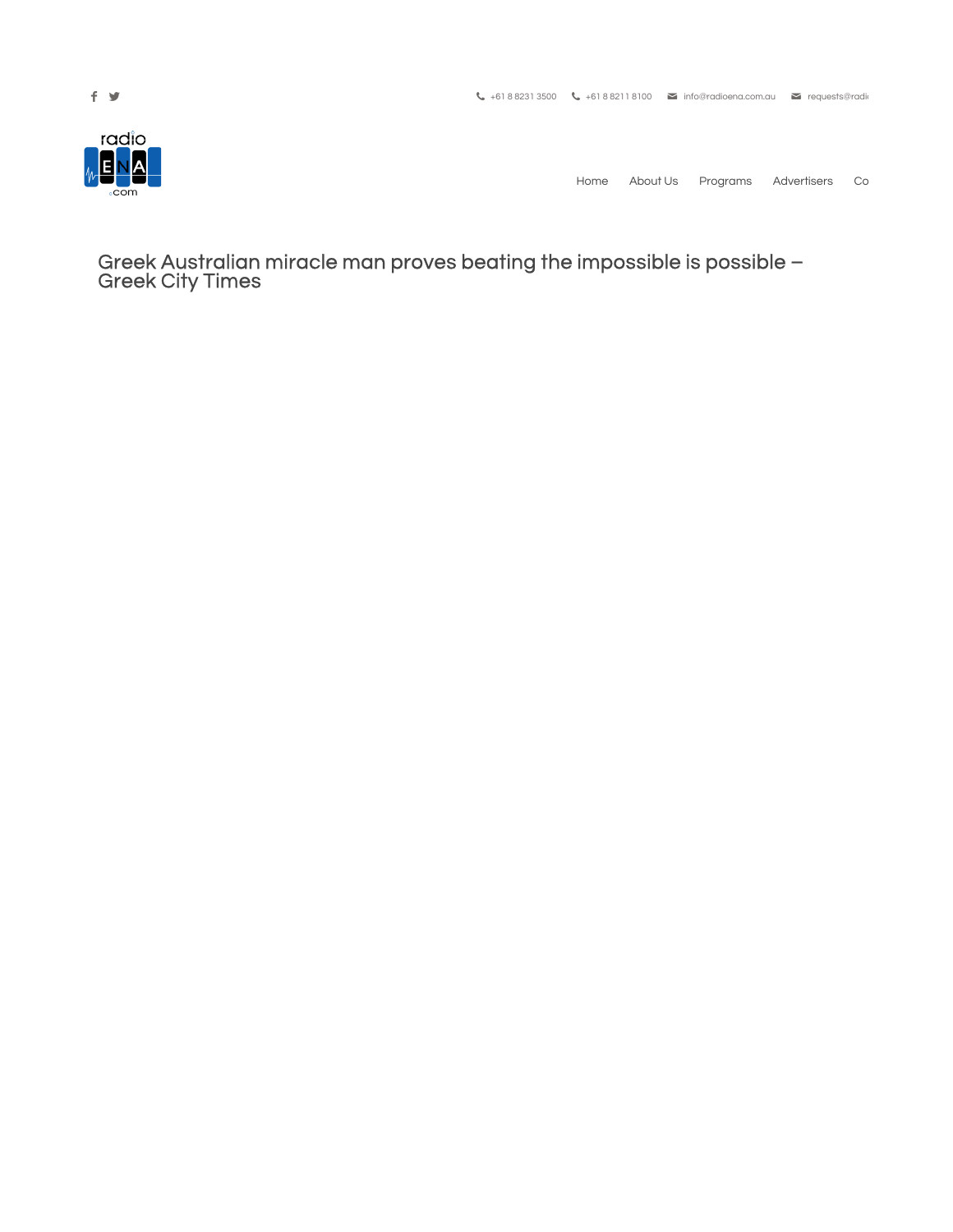

Home About Us Programs Advertisers Co

Greek Australian miracle man proves beating the impossible is possible – Greek City Times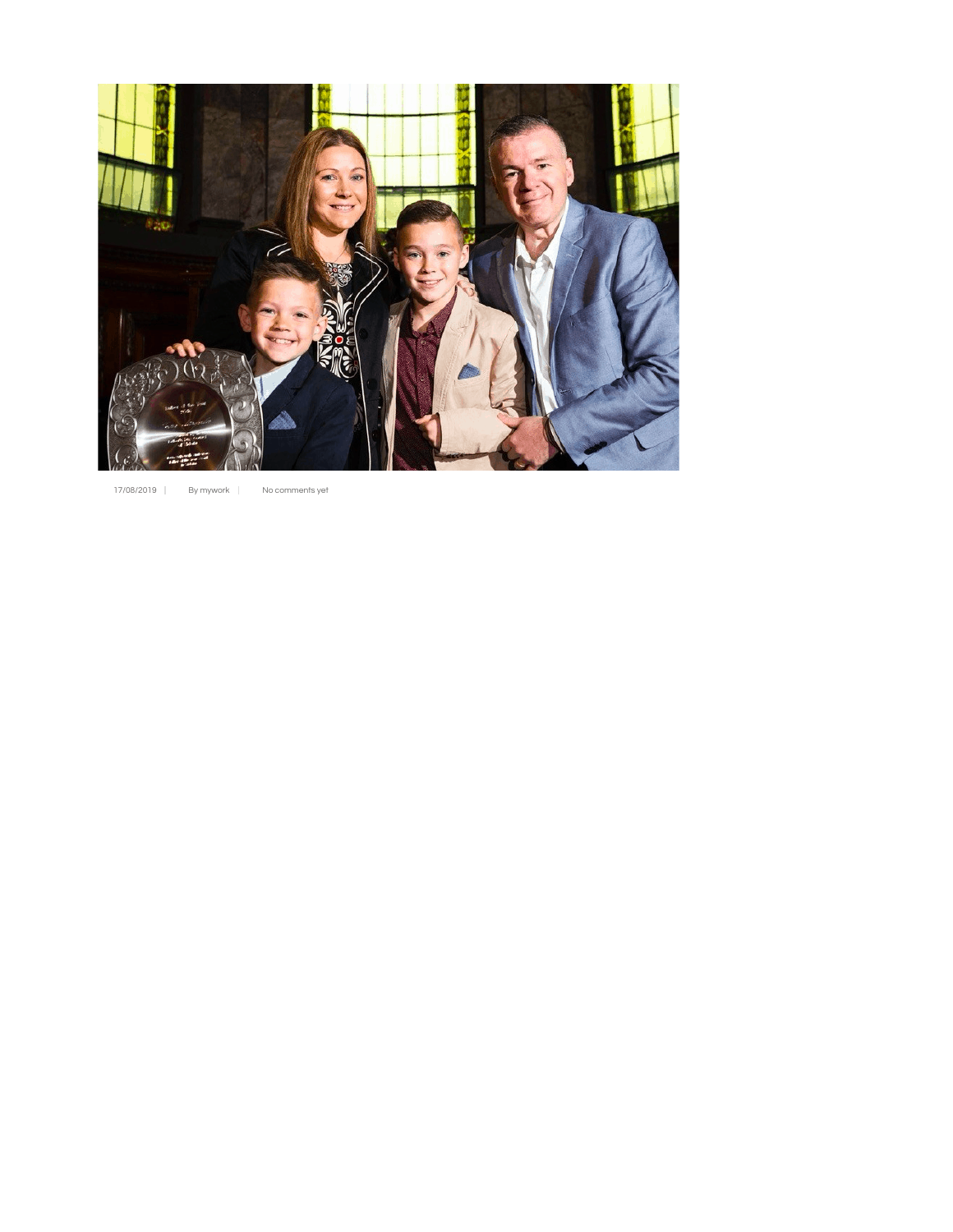

```
17/08/2019 | By mywork | No comments yet
```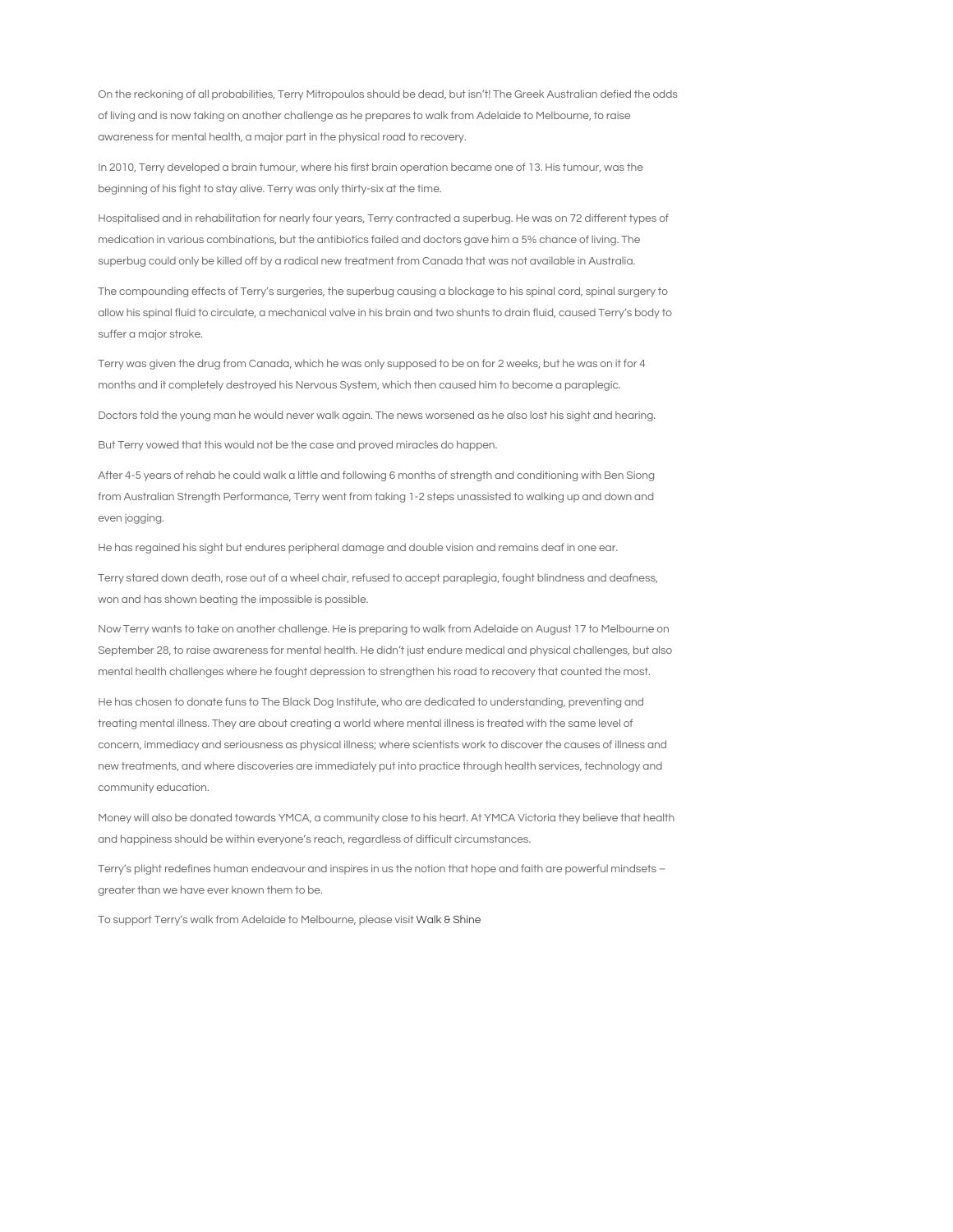On the reckoning of all probabilities, Terry Mitropoulos should be dead, but isn't! The Greek Australian defied the odds of living and is now taking on another challenge as he prepares to walk from Adelaide to Melbourne, to raise awareness for mental health, a major part in the physical road to recovery.

In 2010, Terry developed a brain tumour, where his first brain operation became one of 13. His tumour, was the beginning of his fight to stay alive. Terry was only thirty-six at the time.

Hospitalised and in rehabilitation for nearly four years, Terry contracted a superbug. He was on 72 different types of medication in various combinations, but the antibiotics failed and doctors gave him a 5% chance of living. The superbug could only be killed off by a radical new treatment from Canada that was not available in Australia.

The compounding effects of Terry's surgeries, the superbug causing a blockage to his spinal cord, spinal surgery to allow his spinal fluid to circulate, a mechanical valve in his brain and two shunts to drain fluid, caused Terry's body to suffer a major stroke.

Terry was given the drug from Canada, which he was only supposed to be on for 2 weeks, but he was on it for 4 months and it completely destroyed his Nervous System, which then caused him to become a paraplegic.

Doctors told the young man he would never walk again. The news worsened as he also lost his sight and hearing.

But Terry vowed that this would not be the case and proved miracles do happen.

After 4-5 years of rehab he could walk a little and following 6 months of strength and conditioning with Ben Siong from Australian Strength Performance, Terry went from taking 1-2 steps unassisted to walking up and down and even jogging.

He has regained his sight but endures peripheral damage and double vision and remains deaf in one ear.

Terry stared down death, rose out of a wheel chair, refused to accept paraplegia, fought blindness and deafness, won and has shown beating the impossible is possible.

Now Terry wants to take on another challenge. He is preparing to walk from Adelaide on August 17 to Melbourne on September 28, to raise awareness for mental health. He didn't just endure medical and physical challenges, but also mental health challenges where he fought depression to strengthen his road to recovery that counted the most.

He has chosen to donate funs to The Black Dog Institute, who are dedicated to understanding, preventing and treating mental illness. They are about creating a world where mental illness is treated with the same level of concern, immediacy and seriousness as physical illness; where scientists work to discover the causes of illness and new treatments, and where discoveries are immediately put into practice through health services, technology and community education.

Money will also be donated towards YMCA, a community close to his heart. At YMCA Victoria they believe that health and happiness should be within everyone's reach, regardless of difficult circumstances.

Terry's plight redefines human endeavour and inspires in us the notion that hope and faith are powerful mindsets – greater than we have ever known them to be.

To support Terry's walk from Adelaide to Melbourne, please visit Walk & Shine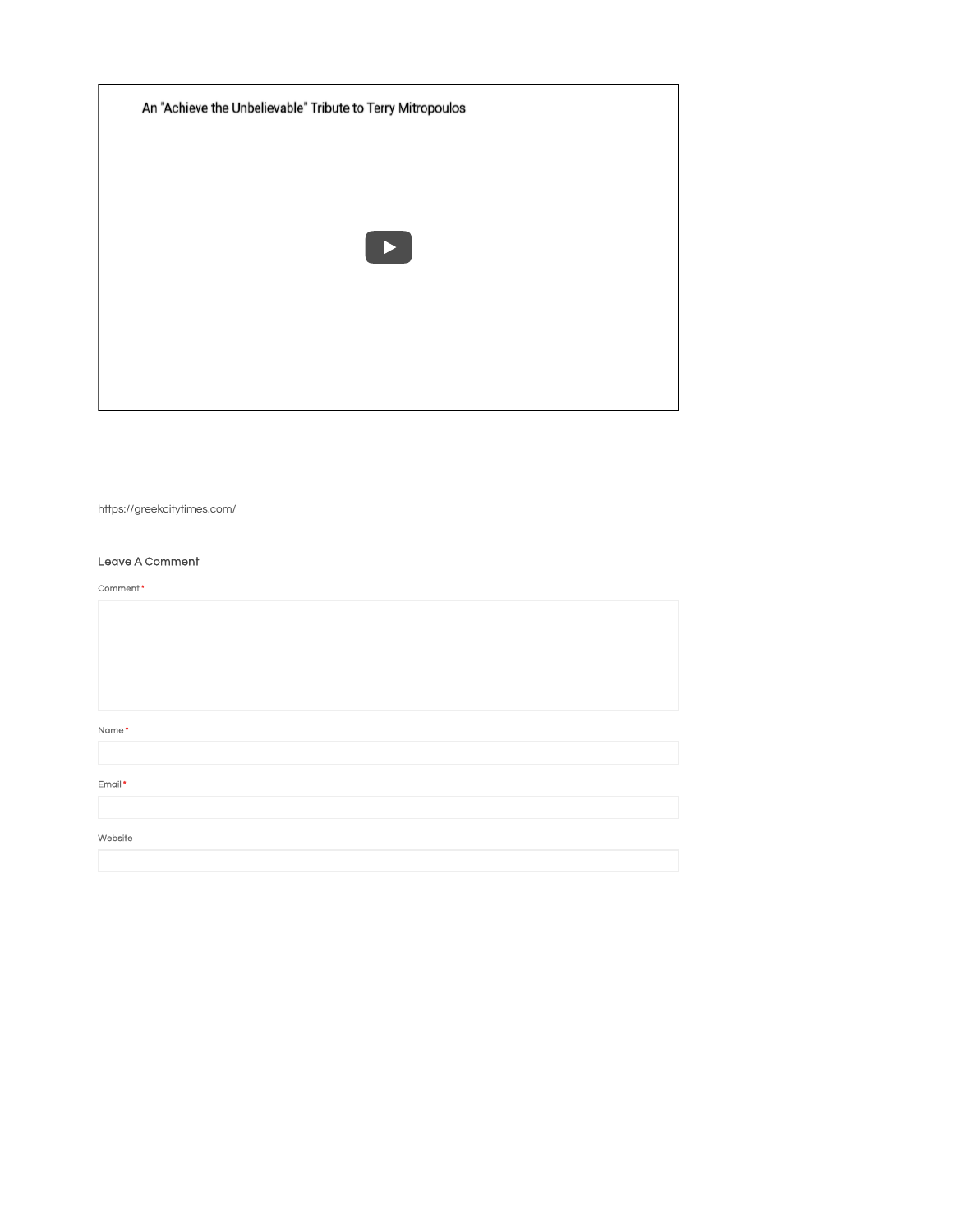An "Achieve the Unbelievable" Tribute to Terry Mitropoulos  $\blacktriangleright$ 

https://greekcitytimes.com/

## Leave A Comment

| Comment* |  |  |  |
|----------|--|--|--|
|          |  |  |  |
|          |  |  |  |
|          |  |  |  |
|          |  |  |  |
|          |  |  |  |
| Name*    |  |  |  |
|          |  |  |  |
| Email*   |  |  |  |
|          |  |  |  |
| Website  |  |  |  |
|          |  |  |  |